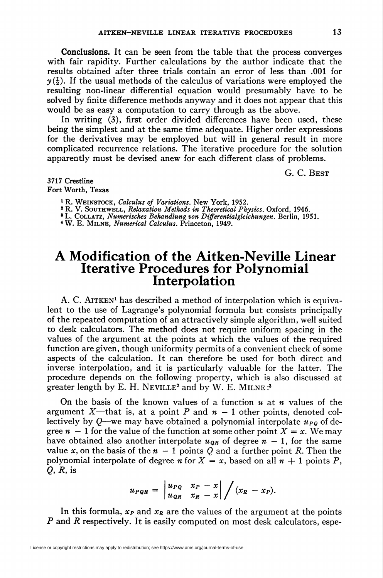Conclusions. It can be seen from the table that the process converges with fair rapidity. Further calculations by the author indicate that the results obtained after three trials contain an error of less than .001 for  $y(\frac{1}{2})$ . If the usual methods of the calculus of variations were employed the resulting non-linear differential equation would presumably have to be solved by finite difference methods anyway and it does not appear that this would be as easy a computation to carry through as the above.

In writing (3), first order divided differences have been used, these being the simplest and at the same time adequate. Higher order expressions for the derivatives may be employed but will in general result in more complicated recurrence relations. The iterative procedure for the solution apparently must be devised anew for each different class of problems.

G. C. Best

3717 Crestline Fort Worth, Texas

<sup>1</sup> R. WEINSTOCK, Calculus of Variations. New York, 1952.

• R. V. Southwell, Relaxation Methods in Theoretical Physics. Oxford, 1946.

3 L. Collatz, Numerisches Behandlung von Differentialgleichungen. Berlin, 1951. 4 W. E. Milne, Numerical Calculus. Princeton, 1949.

## A Modification of the Aitken-Neville Linear Iterative Procedures for Polynomial Interpolation

A. C. AITKEN<sup>1</sup> has described a method of interpolation which is equivalent to the use of Lagrange's polynomial formula but consists principally of the repeated computation of an attractively simple algorithm, well suited to desk calculators. The method does not require uniform spacing in the values of the argument at the points at which the values of the required function are given, though uniformity permits of a convenient check of some aspects of the calculation. It can therefore be used for both direct and inverse interpolation, and it is particularly valuable for the latter. The procedure depends on the following property, which is also discussed at greater length by E. H. NEVILLE<sup>2</sup> and by W. E. MILNE:<sup>3</sup>

On the basis of the known values of a function  $u$  at  $n$  values of the argument X—that is, at a point P and  $n - 1$  other points, denoted collectively by  $Q$ —we may have obtained a polynomial interpolate  $u_{PQ}$  of degree  $n - 1$  for the value of the function at some other point  $X = x$ . We may have obtained also another interpolate  $u_{QR}$  of degree  $n - 1$ , for the same value x, on the basis of the  $n - 1$  points Q and a further point R. Then the polynomial interpolate of degree *n* for  $X = x$ , based on all  $n + 1$  points P, Q, R, is

$$
u_{PQR} = \begin{vmatrix} u_{PQ} & x_P - x \\ u_{QR} & x_R - x \end{vmatrix} / (x_R - x_P).
$$

In this formula,  $x_P$  and  $x_R$  are the values of the argument at the points P and R respectively. It is easily computed on most desk calculators, espe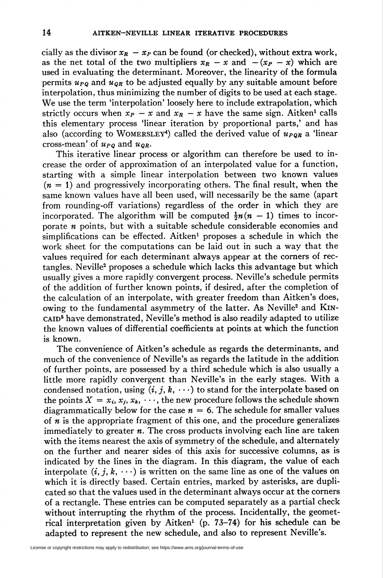cially as the divisor  $x_R - x_P$  can be found (or checked), without extra work, as the net total of the two multipliers  $x_R - x$  and  $-(x_P - x)$  which are used in evaluating the determinant. Moreover, the linearity of the formula permits  $u_{PQ}$  and  $u_{QR}$  to be adjusted equally by any suitable amount before interpolation, thus minimizing the number of digits to be used at each stage. We use the term 'interpolation' loosely here to include extrapolation, which strictly occurs when  $x_P - x$  and  $x_R - x$  have the same sign. Aitken<sup>1</sup> calls this elementary process 'linear iteration by proportional parts,' and has also (according to WOMERSLEY<sup>4</sup>) called the derived value of  $u_{PQR}$  a 'linear cross-mean' of  $u_{PQ}$  and  $u_{QR}$ .

This iterative linear process or algorithm can therefore be used to increase the order of approximation of an interpolated value for a function, starting with a simple linear interpolation between two known values  $(n = 1)$  and progressively incorporating others. The final result, when the same known values have all been used, will necessarily be the same (apart from rounding-off variations) regardless of the order in which they are incorporated. The algorithm will be computed  $\frac{1}{2}n(n - 1)$  times to incorporate  $n$  points, but with a suitable schedule considerable economies and simplifications can be effected. Aitken<sup>1</sup> proposes a schedule in which the work sheet for the computations can be laid out in such a way that the values required for each determinant always appear at the corners of rectangles. Neville2 proposes a schedule which lacks this advantage but which usually gives a more rapidly convergent process. Neville's schedule permits of the addition of further known points, if desired, after the completion of the calculation of an interpolate, with greater freedom than Aitken's does, owing to the fundamental asymmetry of the latter. As Neville<sup>2</sup> and KIN- $\text{CAD}^{\delta}$  have demonstrated, Neville's method is also readily adapted to utilize the known values of differential coefficients at points at which the function is known.

The convenience of Aitken's schedule as regards the determinants, and much of the convenience of Neville's as regards the latitude in the addition of further points, are possessed by a third schedule which is also usually a little more rapidly convergent than Neville's in the early stages. With a condensed notation, using  $(i, j, k, \cdots)$  to stand for the interpolate based on the points  $X = x_i, x_j, x_k, \dots$ , the new procedure follows the schedule shown diagrammatically below for the case  $n = 6$ . The schedule for smaller values of  $n$  is the appropriate fragment of this one, and the procedure generalizes immediately to greater  $n$ . The cross products involving each line are taken with the items nearest the axis of symmetry of the schedule, and alternately on the further and nearer sides of this axis for successive columns, as is indicated by the lines in the diagram. In this diagram, the value of each interpolate  $(i, j, k, \cdots)$  is written on the same line as one of the values on which it is directly based. Certain entries, marked by asterisks, are duplicated so that the values used in the determinant always occur at the corners of a rectangle. These entries can be computed separately as a partial check without interrupting the rhythm of the process. Incidentally, the geometrical interpretation given by Aitken<sup>1</sup> (p. 73-74) for his schedule can be adapted to represent the new schedule, and also to represent Neville's.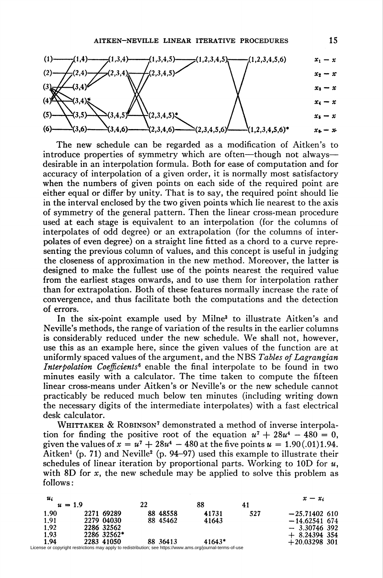

The new schedule can be regarded as a modification of Aitken's to introduce properties of symmetry which are often—though not always desirable in an interpolation formula. Both for ease of computation and for accuracy of interpolation of a given order, it is normally most satisfactory when the numbers of given points on each side of the required point are either equal or differ by unity. That is to say, the required point should lie in the interval enclosed by the two given points which lie nearest to the axis of symmetry of the general pattern. Then the linear cross-mean procedure used at each stage is equivalent to an interpolation (for the columns of interpolates of odd degree) or an extrapolation (for the columns of interpolates of even degree) on a straight line fitted as a chord to a curve representing the previous column of values, and this concept is useful in judging the closeness of approximation in the new method. Moreover, the latter is designed to make the fullest use of the points nearest the required value from the earliest stages onwards, and to use them for interpolation rather than for extrapolation. Both of these features normally increase the rate of convergence, and thus facilitate both the computations and the detection of errors.

In the six-point example used by Milne<sup>3</sup> to illustrate Aitken's and Neville's methods, the range of variation of the results in the earlier columns is considerably reduced under the new schedule. We shall not, however, use this as an example here, since the given values of the function are at uniformly spaced values of the argument, and the NBS Tables of Lagrangian Interpolation Coefficients<sup>6</sup> enable the final interpolate to be found in two minutes easily with a calculator. The time taken to compute the fifteen linear cross-means under Aitken's or Neville's or the new schedule cannot practicably be reduced much below ten minutes (including writing down the necessary digits of the intermediate interpolates) with a fast electrical desk calculator.

WHITTAKER & ROBINSON<sup>7</sup> demonstrated a method of inverse interpolation for finding the positive root of the equation  $u^7 + 28u^4 - 480 = 0$ , given the values of  $x = u^7 + 28u^4 - 480$  at the five points  $u = 1.90(.01)1.94$ . Aitken<sup>1</sup> (p. 71) and Neville<sup>2</sup> (p. 94–97) used this example to illustrate their schedules of linear iteration by proportional parts. Working to 10D for  $u$ , with 8D for  $x$ , the new schedule may be applied to solve this problem as follows :

| $\boldsymbol{u_i}$ |            |             |  |          |                                                                                                             |     | $x - x_i$       |  |
|--------------------|------------|-------------|--|----------|-------------------------------------------------------------------------------------------------------------|-----|-----------------|--|
| $u = 1.9$          |            | 22          |  | 88       | 41                                                                                                          |     |                 |  |
| 1.90               |            | 2271 69289  |  | 88 48558 | 41731                                                                                                       | 527 | $-25.71402$ 610 |  |
| 1.91               |            | 2279 04030  |  | 88 45462 | 41643                                                                                                       |     | $-14.62541.674$ |  |
| 1.92               | 2286 32562 |             |  |          |                                                                                                             |     | $-3.30746392$   |  |
| 1.93               |            | 2286 32562* |  |          |                                                                                                             |     | $+8.24394354$   |  |
| 1.94               |            | 2283 41050  |  | 88 36413 | $41643*$                                                                                                    |     | $+20.03298$ 301 |  |
|                    |            |             |  |          | License or copyright restrictions may apply to redistribution; see https://www.ams.org/journal-terms-of-use |     |                 |  |